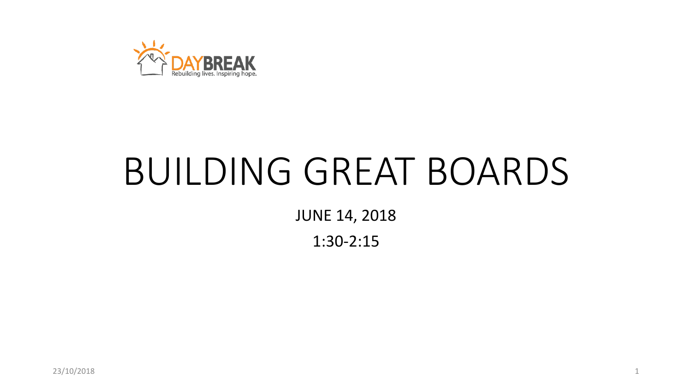

# BUILDING GREAT BOARDS

JUNE 14, 2018

1:30-2:15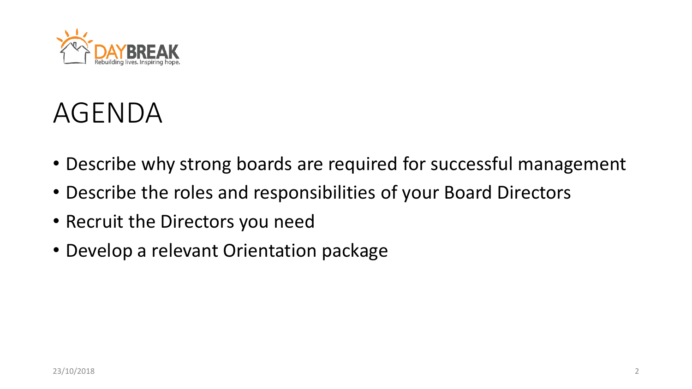

#### AGENDA

- Describe why strong boards are required for successful management
- Describe the roles and responsibilities of your Board Directors
- Recruit the Directors you need
- Develop a relevant Orientation package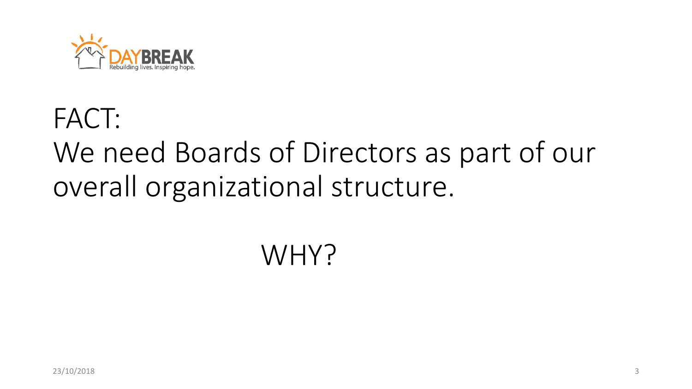

### FACT: We need Boards of Directors as part of our overall organizational structure.

### WHY?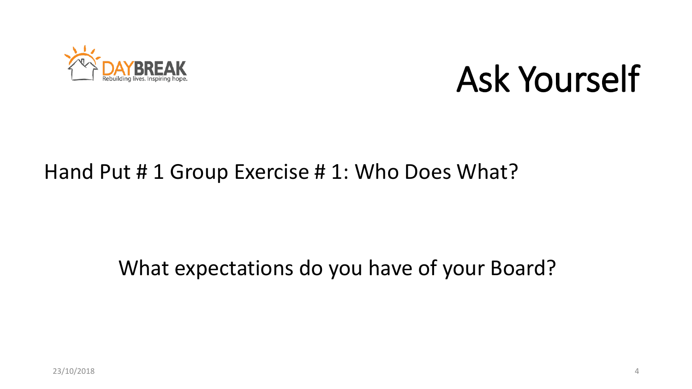

## Ask Yourself

#### Hand Put # 1 Group Exercise # 1: Who Does What?

#### What expectations do you have of your Board?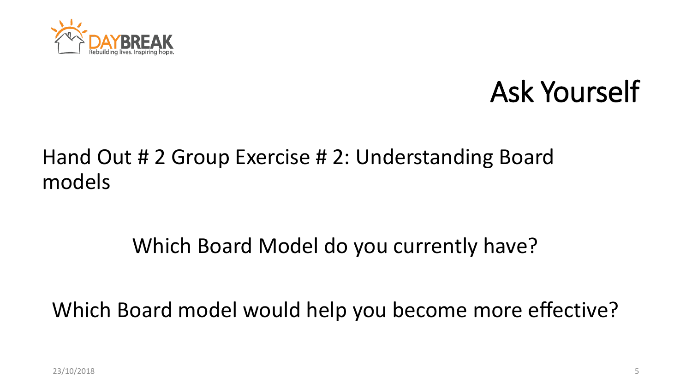

### Ask Yourself

#### Hand Out # 2 Group Exercise # 2: Understanding Board models

#### Which Board Model do you currently have?

Which Board model would help you become more effective?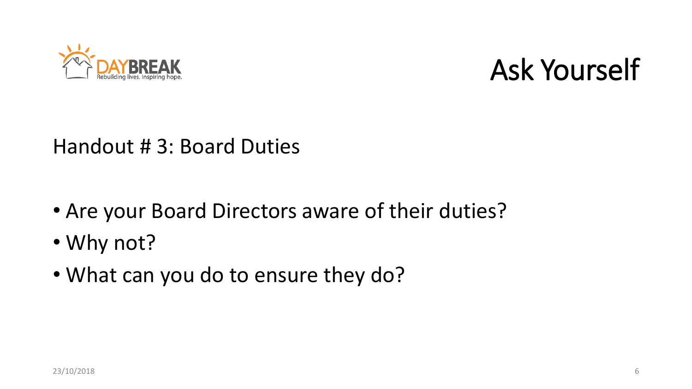



#### Handout # 3: Board Duties

- Are your Board Directors aware of their duties?
- Why not?
- What can you do to ensure they do?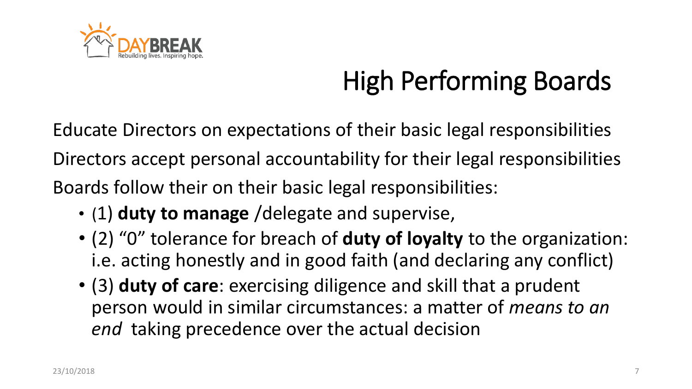

### High Performing Boards

Educate Directors on expectations of their basic legal responsibilities Directors accept personal accountability for their legal responsibilities Boards follow their on their basic legal responsibilities:

- (1) **duty to manage** /delegate and supervise,
- (2) "0" tolerance for breach of **duty of loyalty** to the organization: i.e. acting honestly and in good faith (and declaring any conflict)
- (3) **duty of care**: exercising diligence and skill that a prudent person would in similar circumstances: a matter of *means to an end* taking precedence over the actual decision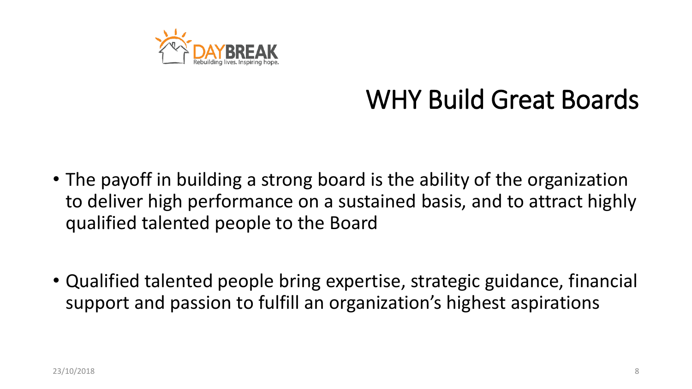

#### WHY Build Great Boards

- The payoff in building a strong board is the ability of the organization to deliver high performance on a sustained basis, and to attract highly qualified talented people to the Board
- Qualified talented people bring expertise, strategic guidance, financial support and passion to fulfill an organization's highest aspirations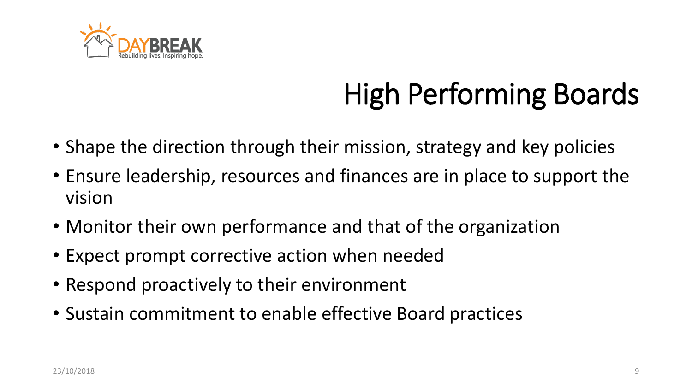

## High Performing Boards

- Shape the direction through their mission, strategy and key policies
- Ensure leadership, resources and finances are in place to support the vision
- Monitor their own performance and that of the organization
- Expect prompt corrective action when needed
- Respond proactively to their environment
- Sustain commitment to enable effective Board practices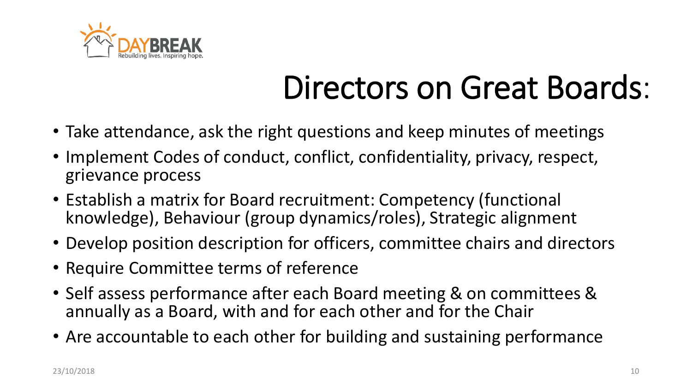

## Directors on Great Boards:

- Take attendance, ask the right questions and keep minutes of meetings
- Implement Codes of conduct, conflict, confidentiality, privacy, respect, grievance process
- Establish a matrix for Board recruitment: Competency (functional knowledge), Behaviour (group dynamics/roles), Strategic alignment
- Develop position description for officers, committee chairs and directors
- Require Committee terms of reference
- Self assess performance after each Board meeting & on committees & annually as a Board, with and for each other and for the Chair
- Are accountable to each other for building and sustaining performance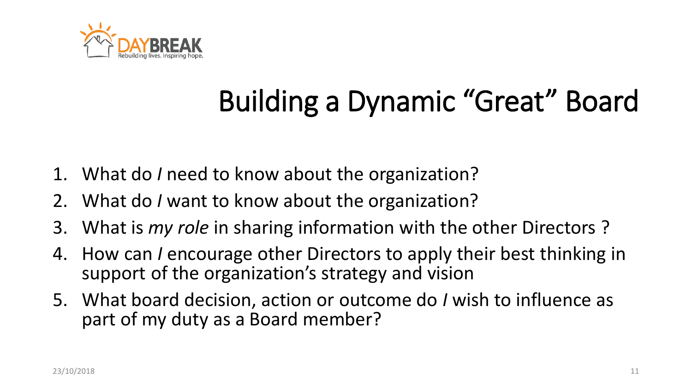

## Building a Dynamic "Great" Board

- 1. What do *I* need to know about the organization?
- 2. What do *I* want to know about the organization?
- 3. What is *my role* in sharing information with the other Directors ?
- 4. How can *I* encourage other Directors to apply their best thinking in support of the organization's strategy and vision
- 5. What board decision, action or outcome do *I* wish to influence as part of my duty as a Board member?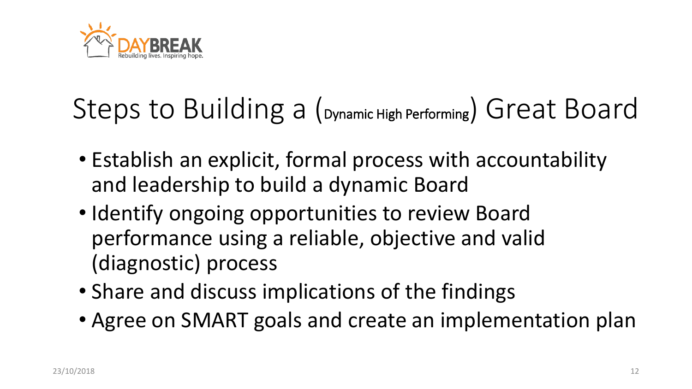

## Steps to Building a (Dynamic High Performing) Great Board

- Establish an explicit, formal process with accountability and leadership to build a dynamic Board
- Identify ongoing opportunities to review Board performance using a reliable, objective and valid (diagnostic) process
- Share and discuss implications of the findings
- Agree on SMART goals and create an implementation plan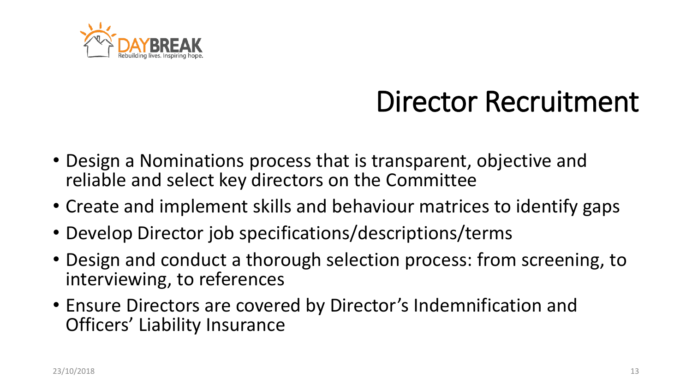

### Director Recruitment

- Design a Nominations process that is transparent, objective and reliable and select key directors on the Committee
- Create and implement skills and behaviour matrices to identify gaps
- Develop Director job specifications/descriptions/terms
- Design and conduct a thorough selection process: from screening, to interviewing, to references
- Ensure Directors are covered by Director's Indemnification and Officers' Liability Insurance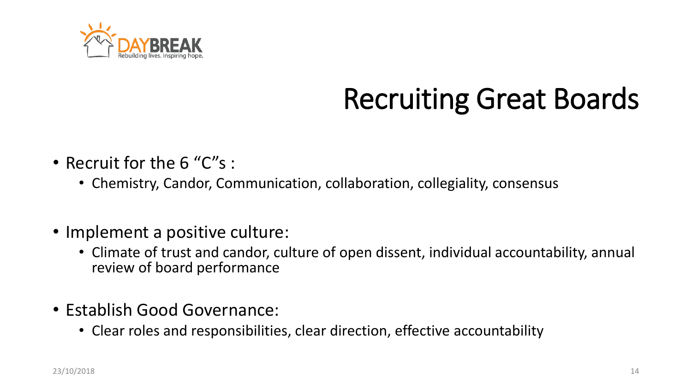

## Recruiting Great Boards

- Recruit for the 6 "C"s :
	- Chemistry, Candor, Communication, collaboration, collegiality, consensus
- Implement a positive culture:
	- Climate of trust and candor, culture of open dissent, individual accountability, annual review of board performance
- Establish Good Governance:
	- Clear roles and responsibilities, clear direction, effective accountability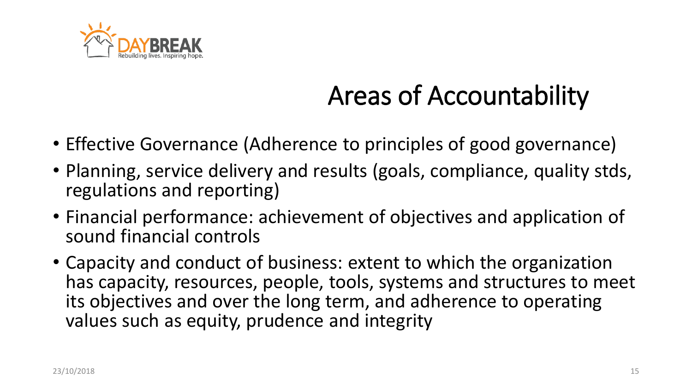

### Areas of Accountability

- Effective Governance (Adherence to principles of good governance)
- Planning, service delivery and results (goals, compliance, quality stds, regulations and reporting)
- Financial performance: achievement of objectives and application of sound financial controls
- Capacity and conduct of business: extent to which the organization has capacity, resources, people, tools, systems and structures to meet its objectives and over the long term, and adherence to operating values such as equity, prudence and integrity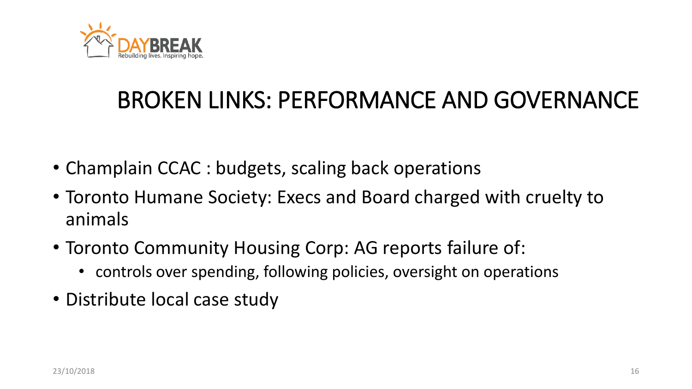

#### BROKEN LINKS: PERFORMANCE AND GOVERNANCE

- Champlain CCAC : budgets, scaling back operations
- Toronto Humane Society: Execs and Board charged with cruelty to animals
- Toronto Community Housing Corp: AG reports failure of:
	- controls over spending, following policies, oversight on operations
- Distribute local case study